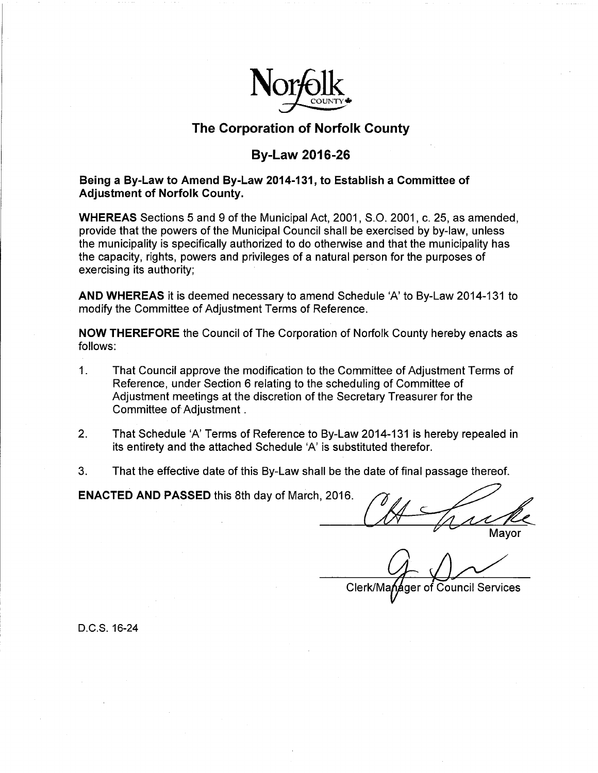

## **The Corporation of Norfolk County**

## **By-Law 2016-26**

## **Being a By-Law to Amend By-Law 2014-131, to Establish a Committee of Adjustment of Norfolk County.**

**WHEREAS** Sections 5 and 9 of the Municipal Act, 2001, S.O. 2001, c. 25, as amended, provide that the powers of the Municipal Council shall be exercised by by-law, unless the municipality is specifically authorized to do otherwise and that the municipality has the capacity, rights, powers and privileges of a natural person for the purposes of exercising its authority;

**AND WHEREAS** it is deemed necessary to amend Schedule 'A' to By-Law 2014-131 to modify the Committee of Adjustment Terms of Reference.

**NOW THEREFORE** the Council of The Corporation of Norfolk County hereby enacts as follows:

- 1. That Council approve the modification to the Committee of Adjustment Terms of Reference, under Section 6 relating to the scheduling of Committee of Adjustment meetings at the discretion of the Secretary Treasurer for the Committee of Adjustment .
- 2. That Schedule 'A' Terms of Reference to By-Law 2014-131 is hereby repealed in its entirety and the attached Schedule 'A' is substituted therefor. EXACTED AND PASSED this 8th day of March, 2016.
- 3. That the effective date of this By-Law shall be the date of final passage thereof.

Mayor

ger of Council Services Clerk/Ma

D.C.S. 16-24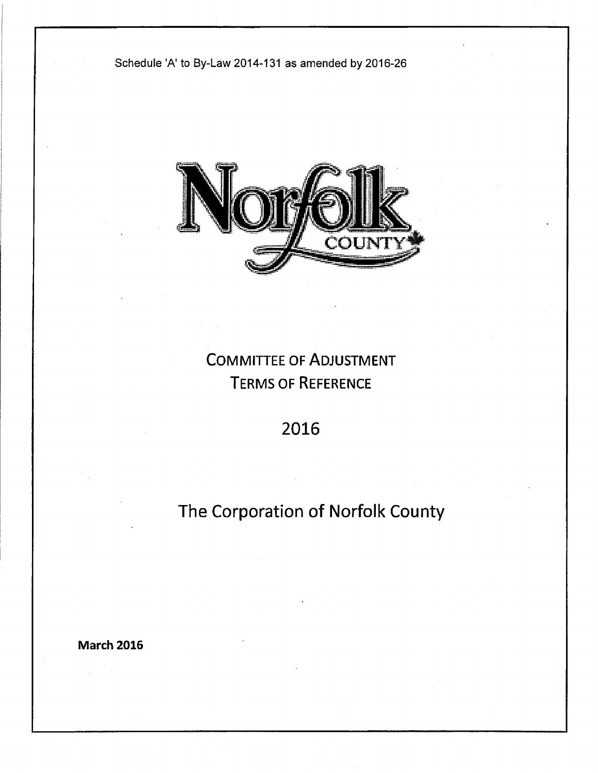



# COMMITTEE OF ADJUSTMENT TERMS OF REFERENCE

## 2016

# The Corporation of Norfolk County

**March 2016**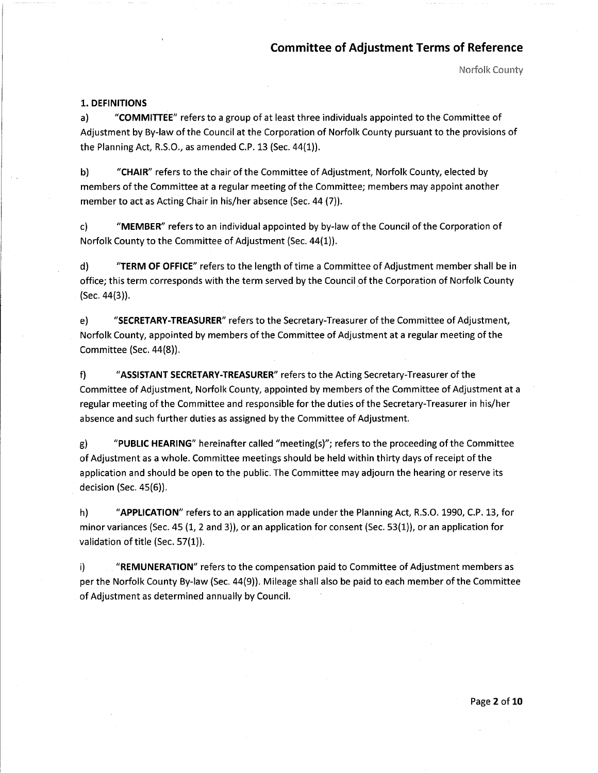Norfolk County

#### **1. DEFINITIONS**

a) **"COMMITTEE"** refers to a group of at least three individuals appointed to the Committee of Adjustment by By-law of the Council at the Corporation of Norfolk County pursuant to the provisions of the Planning Act, R.S.O., as amended C.P. 13 (Sec. 44(1)).

b) **"CHAIR"** refers to the chair of the Committee of Adjustment, Norfolk County, elected by members of the Committee at a regular meeting of the Committee; members may appoint another member to act as Acting Chair in his/her absence (Sec. 44 (7)).

c) **"MEMBER"** refers to an individual appointed by by-law of the Council of the Corporation of Norfolk County to the Committee of Adjustment (Sec. 44(1)).

d) **"TERM OF OFFICE"** refers to the length oftime a Committee of Adjustment member shall be in office; this term corresponds with the term served by the Council of the Corporation of Norfolk County {Sec. 44(3)).

e) **"SECRETARY-TREASURER"** refers to the Secretary-Treasurer ofthe Committee of Adjustment, Norfolk County, appointed by members of the Committee of Adjustment at a regular meeting of the Committee {Sec. 44(8)).

f) **"ASSISTANT SECRETARY-TREASURER"** refers to the Acting Secretary-Treasurer of the Committee of Adjustment, Norfolk County, appointed by members of the Committee of Adjustment at a regular meeting of the Committee and responsible for the duties of the Secretary-Treasurer in his/her absence and such further duties as assigned by the Committee of Adjustment.

g) **"PUBLIC HEARING"** hereinafter called "meeting(s)"; refers to the proceeding of the Committee of Adjustment as a whole. Committee meetings should be held within thirty days of receipt of the application and should be open to the public. The Committee may adjourn the hearing or reserve its decision (Sec. 45(6)).

h) **"APPLICATION"** refers to an application made under the Planning Act, R.S.O. 1990, C.P. 13, for minor variances {Sec. 45 (1, 2 and 3)), or an application for consent {Sec. 53(1)), or an application for validation of title {Sec. 57(1)).

i) **"REMUNERATION"** refers to the compensation paid to Committee of Adjustment members as per the Norfolk County By-law (Sec. 44(9)). Mileage shall also be paid to each member of the Committee of Adjustment as determined annually by Council.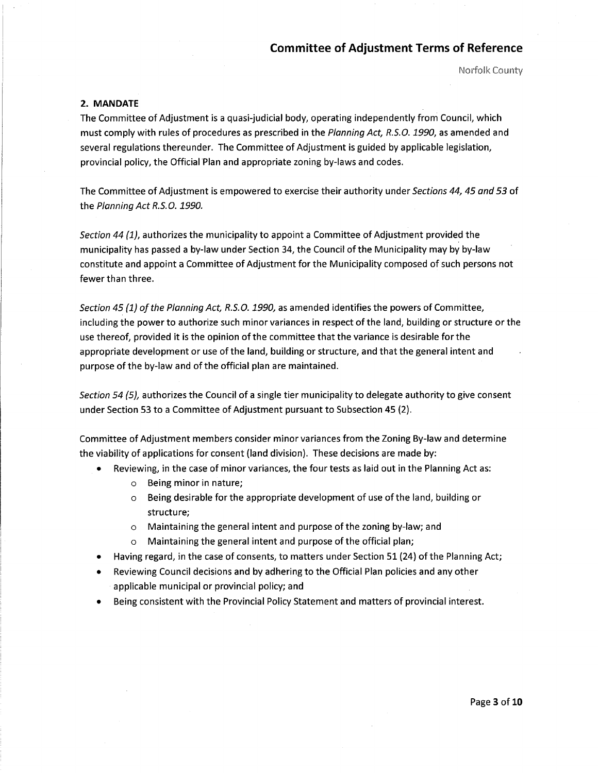Norfolk County

#### **2. MANDATE**

The Committee of Adjustment is a quasi-judicial body, operating independently from Council, which must comply with rules of procedures as prescribed in the Planning Act, R.5.0. *1990,* as amended and several regulations thereunder. The Committee of Adjustment is guided by applicable legislation, provincial policy, the Official Plan and appropriate zoning by-laws and codes.

The Committee of Adjustment is empowered to exercise their authority under Sections 44, 45 and 53 of the Planning Act R.S. 0. *1990.* 

Section 44 (1), authorizes the municipality to appoint a Committee of Adjustment provided the municipality has passed a by-law under Section 34, the Council of the Municipality may by by-law constitute and appoint a Committee of Adjustment for the Municipality composed of such persons not fewer than three.

Section 45 *{1}* of the Planning Act, R.5.0. *1990,* as amended identifies the powers of Committee, including the power to authorize such minor variances in respect of the land, building or structure or the use thereof, provided it is the opinion of the committee that the variance is desirable for the appropriate development or use of the land, building or structure, and that the general intent and purpose of the by-law and of the official plan are maintained.

Section 54 (5), authorizes the Council of a single tier municipality to delegate authority to give consent under Section 53 to a Committee of Adjustment pursuant to Subsection 45 (2).

Committee of Adjustment members consider minor variances from the Zoning By-law and determine the viability of applications for consent {land division). These decisions are made by:

- Reviewing, in the case of minor variances, the four tests as laid out in the Planning Act as:
	- o Being minor in nature;
	- $\circ$  Being desirable for the appropriate development of use of the land, building or structure;
	- o Maintaining the general intent and purpose of the zoning by-law; and
	- o Maintaining the general intent and purpose of the official plan;
- Having regard, in the case of consents, to matters under Section 51 (24) of the Planning Act;
- Reviewing Council decisions and by adhering to the Official Plan policies and any other applicable municipal or provincial policy; and
- Being consistent with the Provincial Policy Statement and matters of provincial interest.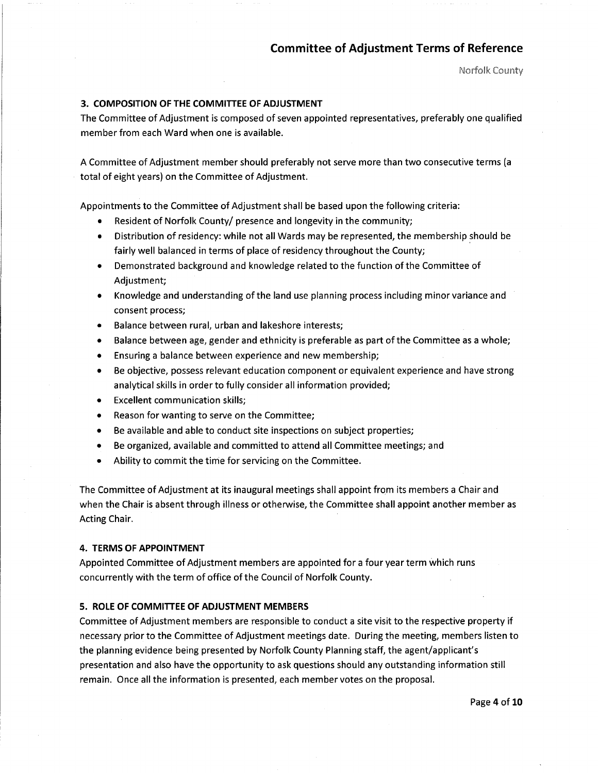Norfolk County

#### **3. COMPOSITION OF THE COMMITTEE OF ADJUSTMENT**

The Committee of Adjustment is composed of seven appointed representatives, preferably one qualified member from each Ward when one is available.

A Committee of Adjustment member should preferably not serve more than two consecutive terms (a total of eight years) on the Committee of Adjustment.

Appointments to the Committee of Adjustment shall be based upon the following criteria:

- Resident of Norfolk County/ presence and longevity in the community;
- Distribution of residency: while not all Wards may be represented, the membership should be fairly well balanced in terms of place of residency throughout the County;
- Demonstrated background and knowledge related to the function of the Committee of Adjustment;
- Knowledge and understanding of the land use planning process including minor variance and consent process;
- Balance between rural, urban and lakeshore interests;
- Balance between age, gender and ethnicity is preferable as part of the Committee as a whole;
- Ensuring a balance between experience and new membership;
- Be objective, possess relevant education component or equivalent experience and have strong analytical skills in order to fully consider all information provided;
- **Excellent communication skills;**
- Reason for wanting to serve on the Committee;
- Be available and able to conduct site inspections on subject properties;
- Be organized, available and committed to attend all Committee meetings; and
- Ability to commit the time for servicing on the Committee.

The Committee of Adjustment at its inaugural meetings shall appoint from its members a Chair and when the Chair is absent through illness or otherwise, the Committee shall appoint another member as Acting Chair.

#### **4. TERMS OF APPOINTMENT**

Appointed Committee of Adjustment members are appointed for a four year term which runs concurrently with the term of office of the Council of Norfolk County.

#### **5. ROLE OF COMMITTEE OF ADJUSTMENT MEMBERS**

Committee of Adjustment members are responsible to conduct a site visit to the respective property if necessary prior to the Committee of Adjustment meetings date. During the meeting, members listen to the planning evidence being presented by Norfolk County Planning staff, the agent/applicant's presentation and also have the opportunity to ask questions should any outstanding information still remain. Once all the information is presented, each member votes on the proposal.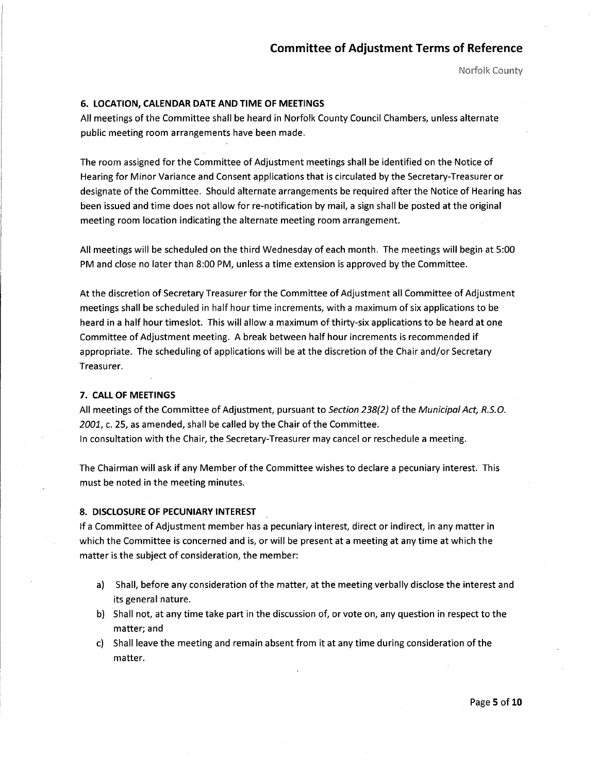Norfo!k County

#### **6. LOCATION, CALENDAR DATE AND TIME OF MEETINGS**

All meetings of the Committee shall be heard in Norfolk County Council Chambers, unless alternate public meeting room arrangements have been made.

The room assigned for the Committee of Adjustment meetings shall be identified on the Notice of Hearing for Minor Variance and Consent applications that is circulated by the Secretary-Treasurer or designate of the Committee. Should alternate arrangements be required after the Notice of Hearing has been issued and time does not allow for re-notification by mail, a sign shall be posted at the original meeting room location indicating the alternate meeting room arrangement.

All meetings will be scheduled on the third Wednesday of each month. The meetings will begin at 5:00 PM and close no later than 8:00 PM, unless a time extension is approved by the Committee.

At the discretion of Secretary Treasurer for the Committee of Adjustment all Committee of Adjustment meetings shall be scheduled in half hour time increments, with a maximum of six applications to be heard in a half hour timeslot. This will allow a maximum of thirty-six applications to be heard at one Committee of Adjustment meeting. A break between half hour increments is recommended if appropriate. The scheduling of applications will be at the discretion of the Chair and/or Secretary Treasurer.

#### **7. CALL OF MEETINGS**

All meetings of the Committee of Adjustment, pursuant to Section 238{2} of the Municipal Act, *R.5.0.* 2001, c. 25, as amended, shall be called by the Chair of the Committee. In consultation with the Chair, the Secretary-Treasurer may cancel or reschedule a meeting.

The Chairman will ask if any Member of the Committee wishes to declare a pecuniary interest. This must be noted in the meeting minutes.

#### **8. DISCLOSURE OF PECUNIARY INTEREST**

If a Committee of Adjustment member has a pecuniary interest, direct or indirect, in any matter in which the Committee is concerned and is, or will be present at a meeting at any time at which the matter is the subject of consideration, the member:

- a) Shall, before any consideration of the matter, at the meeting verbally disclose the interest and its general nature.
- b) Shall not, at any time take part in the discussion of, or vote on, any question in respect to the matter; and
- c) Shall leave the meeting and remain absent from it at any time during consideration of the matter.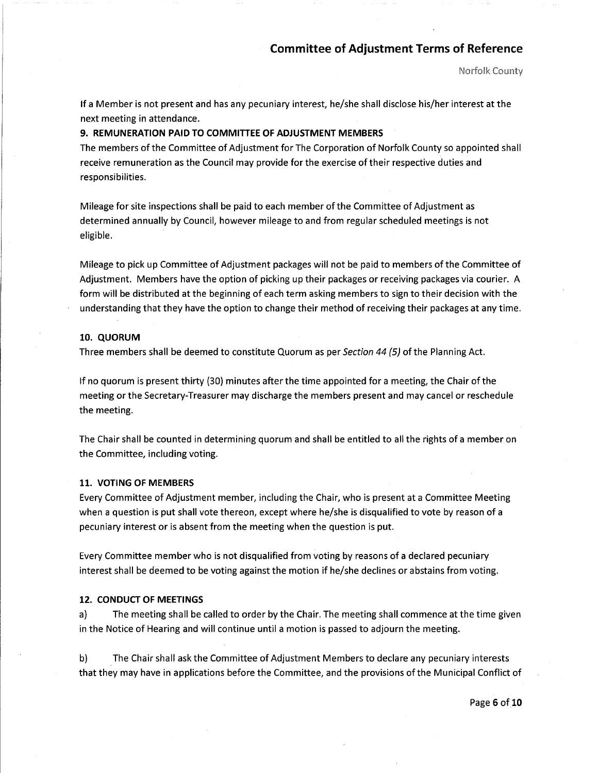Norfo!k County

If a Member is not present and has any pecuniary interest, he/she shall disclose his/her interest at the next meeting in attendance.

#### **9. REMUNERATION PAID TO COMMITIEE OF ADJUSTMENT MEMBERS**

The members of the Committee of Adjustment for The Corporation of Norfolk County so appointed shall receive remuneration as the Council may provide for the exercise of their respective duties and responsibilities.

Mileage for site inspections shall be paid to each member of the Committee of Adjustment as determined annually by Council, however mileage to and from regular scheduled meetings is not eligible.

Mileage to pick up Committee of Adjustment packages will not be paid to members ofthe Committee of Adjustment. Members have the option of picking up their packages or receiving packages via courier. A form will be distributed at the beginning of each term asking members to sign to their decision with the understanding that they have the option to change their method of receiving their packages at any time.

#### **10. QUORUM**

Three members shall be deemed to constitute Quorum as per Section 44 (5) of the Planning Act.

If no quorum is present thirty (30) minutes after the time appointed for a meeting, the Chair of the meeting or the Secretary-Treasurer may discharge the members present and may cancel or reschedule the meeting.

The Chair shall be counted in determining quorum and shall be entitled to all the rights of a member on the Committee, including voting.

#### **11. VOTING OF MEMBERS**

Every Committee of Adjustment member, including the Chair, who is present at a Committee Meeting when a question is put shall vote thereon, except where he/she is disqualified to vote by reason of a pecuniary interest or is absent from the meeting when the question is put.

Every Committee member who is not disqualified from voting by reasons of a declared pecuniary interest shall be deemed to be voting against the motion if he/she declines or abstains from voting.

#### **12. CONDUCT OF MEETINGS**

a) The meeting shall be called to order by the Chair. The meeting shall commence at the time given in the Notice of Hearing and will continue until a motion is passed to adjourn the meeting.

b) The Chair shall ask the Committee of Adjustment Members to declare any pecuniary interests that they may have in applications before the Committee, and the provisions of the Municipal Conflict of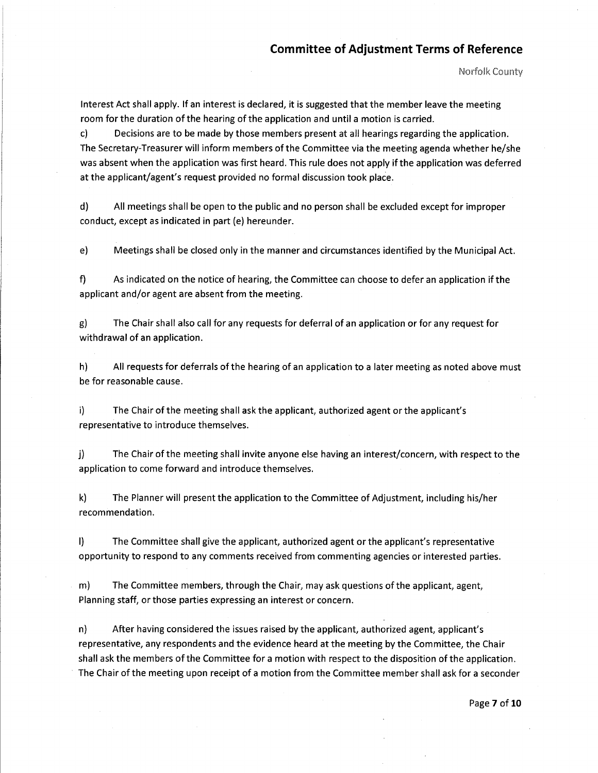Norfolk County

Interest Act shall apply. If an interest is declared, it is suggested that the member leave the meeting room for the duration of the hearing of the application and until a motion is carried.

c) Decisions are to be made by those members present at all hearings regarding the application. The Secretary-Treasurer will inform members of the Committee via the meeting agenda whether he/she was absent when the application was first heard. This rule does not apply if the application was deferred at the applicant/agent's request provided no formal discussion took place.

d) All meetings shall be open to the public and no person shall be excluded except for improper conduct, except as indicated in part (e) hereunder.

e) Meetings shall be closed only in the manner and circumstances identified by the Municipal Act.

f) As indicated on the notice of hearing, the Committee can choose to defer an application if the applicant and/or agent are absent from the meeting.

g) The Chair shall also call for any requests for deferral of an application or for any request for withdrawal of an application.

h) All requests for deferrals of the hearing of an application to a later meeting as noted above must be for reasonable cause.

i) The Chair of the meeting shall ask the applicant, authorized agent or the applicant's representative to introduce themselves.

j) The Chair of the meeting shall invite anyone else having an interest/concern, with respect to the application to come forward and introduce themselves.

k) The Planner will present the application to the Committee of Adjustment, including his/her recommendation.

I) The Committee shall give the applicant, authorized agent or the applicant's representative opportunity to respond to any comments received from commenting agencies or interested parties.

m) The Committee members, through the Chair, may ask questions of the applicant, agent, Planning staff, or those parties expressing an interest or concern.

n) After having considered the issues raised by the applicant, authorized agent, applicant's representative, any respondents and the evidence heard at the meeting by the Committee, the Chair shall ask the members of the Committee for a motion with respect to the disposition of the application. The Chair of the meeting upon receipt of a motion from the Committee member shall ask for a seconder

Page **7** of **10**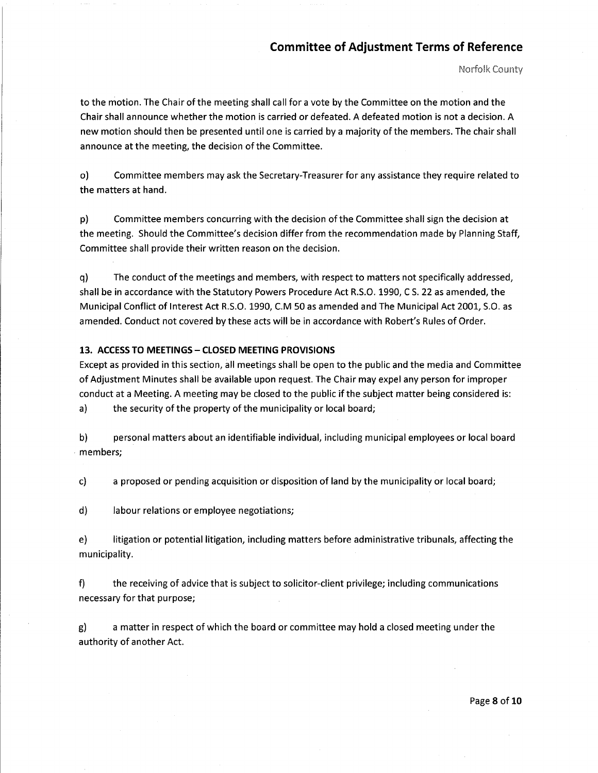Norfo!k County

to the motion. The Chair of the meeting shall call for a vote by the Committee on the motion and the Chair shall announce whether the motion is carried or defeated. A defeated motion is not a decision. A new motion should then be presented until one is carried by a majority of the members. The chair shall announce at the meeting, the decision of the Committee.

o) Committee members may ask the Secretary-Treasurer for any assistance they require related to the matters at hand.

p) Committee members concurring with the decision of the Committee shall sign the decision at the meeting. Should the Committee's decision differ from the recommendation made by Planning Staff, Committee shall provide their written reason on the decision.

q) The conduct of the meetings and members, with respect to matters not specifically addressed, shall be in accordance with the Statutory Powers Procedure Act R.S.O. 1990, CS. 22 as amended, the Municipal Conflict of Interest Act R.S.O. 1990, C.M 50 as amended and The Municipal Act 2001, S.O. as amended. Conduct not covered by these acts will be in accordance with Robert's Rules of Order.

#### 13. ACCESS TO MEETINGS - CLOSED MEETING PROVISIONS

Except as provided in this section, all meetings shall be open to the public and the media and Committee of Adjustment Minutes shall be available upon request. The Chair may expel any person for improper conduct at a Meeting. A meeting may be closed to the public if the subject matter being considered is: a) the security of the property of the municipality or local board;

b) personal matters about an identifiable individual, including municipal employees or local board members;

c) a proposed or pending acquisition or disposition of land by the municipality or local board;

d) labour relations or employee negotiations;

 $\sim$ 

e) litigation or potential litigation, including matters before administrative tribunals, affecting the municipality.

f) the receiving of advice that is subject to solicitor-client privilege; including communications necessary for that purpose;

g) a matter in respect of which the board or committee may hold a closed meeting under the authority of another Act.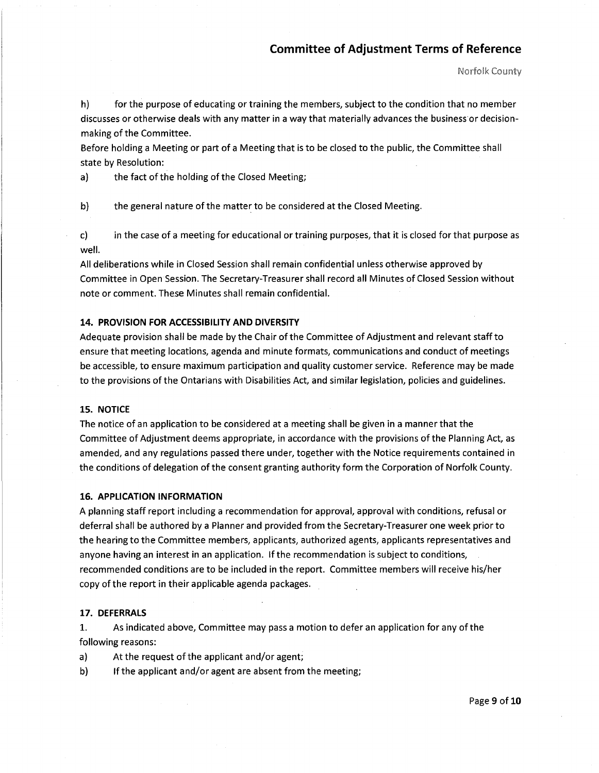h) for the purpose of educating or training the members, subject to the condition that no member discusses or otherwise deals with any matter in a way that materially advances the business or decision making of the Committee.

Before holding a Meeting or part of a Meeting that is to be closed to the public, the Committee shall state by Resolution:

a) the fact of the holding of the Closed Meeting;

b) the general nature of the matter to be considered at the Closed Meeting.

c) in the case of a meeting for educational or training purposes, that it is closed for that purpose as well.

All deliberations while in Closed Session shall remain confidential unless otherwise approved by Committee in Open Session. The Secretary-Treasurer shall record all Minutes of Closed Session without note or comment. These Minutes shall remain confidential.

#### **14. PROVISION FOR ACCESSIBILITY AND DIVERSITY**

Adequate provision shall be made by the Chair of the Committee of Adjustment and relevant staff to ensure that meeting locations, agenda and minute formats, communications and conduct of meetings be accessible, to ensure maximum participation and quality customer service. Reference may be made to the provisions of the Ontarians with Disabilities Act, and similar legislation, policies and guidelines.

#### **15. NOTICE**

The notice of an application to be considered at a meeting shall be given in a manner that the Committee of Adjustment deems appropriate, in accordance with the provisions of the Planning Act, as amended, and any regulations passed there under, together with the Notice requirements contained in the conditions of delegation of the consent granting authority form the Corporation of Norfolk County.

#### **16. APPLICATION INFORMATION**

A planning staff report including a recommendation for approval, approval with conditions, refusal or deferral shall be authored by a Planner and provided from the Secretary-Treasurer one week prior to the hearing to the Committee members, applicants, authorized agents, applicants representatives and anyone having an interest in an application. If the recommendation is subject to conditions, recommended conditions are to be included in the report. Committee members will receive his/her copy of the report in their applicable agenda packages.

#### **17. DEFERRALS**

1. As indicated above, Committee may pass a motion to defer an application for any of the following reasons:

a) At the request of the applicant and/or agent;

b) If the applicant and/or agent are absent from the meeting;